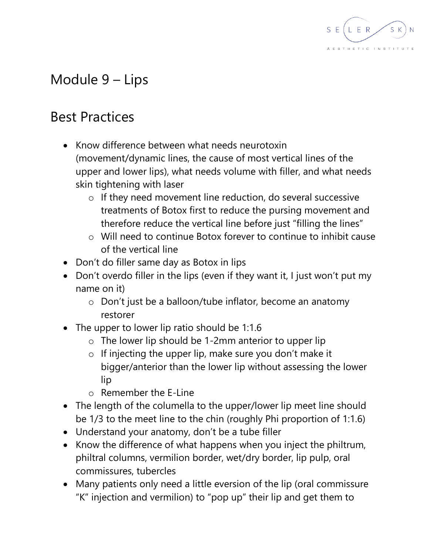

## Module 9 – Lips

## Best Practices

- Know difference between what needs neurotoxin (movement/dynamic lines, the cause of most vertical lines of the upper and lower lips), what needs volume with filler, and what needs skin tightening with laser
	- o If they need movement line reduction, do several successive treatments of Botox first to reduce the pursing movement and therefore reduce the vertical line before just "filling the lines"
	- o Will need to continue Botox forever to continue to inhibit cause of the vertical line
- Don't do filler same day as Botox in lips
- Don't overdo filler in the lips (even if they want it, I just won't put my name on it)
	- o Don't just be a balloon/tube inflator, become an anatomy restorer
- The upper to lower lip ratio should be 1:1.6
	- o The lower lip should be 1-2mm anterior to upper lip
	- o If injecting the upper lip, make sure you don't make it bigger/anterior than the lower lip without assessing the lower lip
	- o Remember the E-Line
- The length of the columella to the upper/lower lip meet line should be 1/3 to the meet line to the chin (roughly Phi proportion of 1:1.6)
- Understand your anatomy, don't be a tube filler
- Know the difference of what happens when you inject the philtrum, philtral columns, vermilion border, wet/dry border, lip pulp, oral commissures, tubercles
- Many patients only need a little eversion of the lip (oral commissure "K" injection and vermilion) to "pop up" their lip and get them to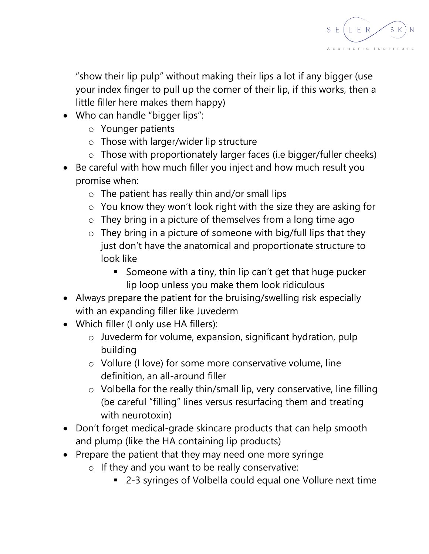

"show their lip pulp" without making their lips a lot if any bigger (use your index finger to pull up the corner of their lip, if this works, then a little filler here makes them happy)

- Who can handle "bigger lips":
	- o Younger patients
	- o Those with larger/wider lip structure
	- o Those with proportionately larger faces (i.e bigger/fuller cheeks)
- Be careful with how much filler you inject and how much result you promise when:
	- o The patient has really thin and/or small lips
	- o You know they won't look right with the size they are asking for
	- o They bring in a picture of themselves from a long time ago
	- $\circ$  They bring in a picture of someone with big/full lips that they just don't have the anatomical and proportionate structure to look like
		- Someone with a tiny, thin lip can't get that huge pucker lip loop unless you make them look ridiculous
- Always prepare the patient for the bruising/swelling risk especially with an expanding filler like Juvederm
- Which filler (I only use HA fillers):
	- o Juvederm for volume, expansion, significant hydration, pulp building
	- o Vollure (I love) for some more conservative volume, line definition, an all-around filler
	- o Volbella for the really thin/small lip, very conservative, line filling (be careful "filling" lines versus resurfacing them and treating with neurotoxin)
- Don't forget medical-grade skincare products that can help smooth and plump (like the HA containing lip products)
- Prepare the patient that they may need one more syringe
	- o If they and you want to be really conservative:
		- 2-3 syringes of Volbella could equal one Vollure next time